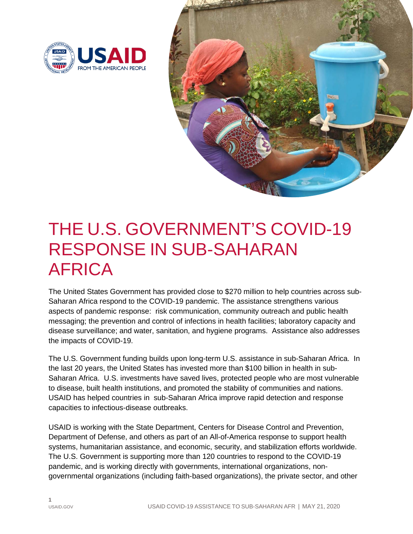



# THE U.S. GOVERNMENT'S COVID-19 RESPONSE IN SUB-SAHARAN AFRICA

The United States Government has provided close to \$270 million to help countries across sub-Saharan Africa respond to the COVID-19 pandemic. The assistance strengthens various aspects of pandemic response: risk communication, community outreach and public health messaging; the prevention and control of infections in health facilities; laboratory capacity and disease surveillance; and water, sanitation, and hygiene programs. Assistance also addresses the impacts of COVID-19.

The U.S. Government funding builds upon long-term U.S. assistance in sub-Saharan Africa. In the last 20 years, the United States has invested more than \$100 billion in health in sub-Saharan Africa. U.S. investments have saved lives, protected people who are most vulnerable to disease, built health institutions, and promoted the stability of communities and nations. USAID has helped countries in sub-Saharan Africa improve rapid detection and response capacities to infectious-disease outbreaks.

USAID is working with the State Department, Centers for Disease Control and Prevention, Department of Defense, and others as part of an All-of-America response to support health systems, humanitarian assistance, and economic, security, and stabilization efforts worldwide. The U.S. Government is supporting more than 120 countries to respond to the COVID-19 pandemic, and is working directly with governments, international organizations, nongovernmental organizations (including faith-based organizations), the private sector, and other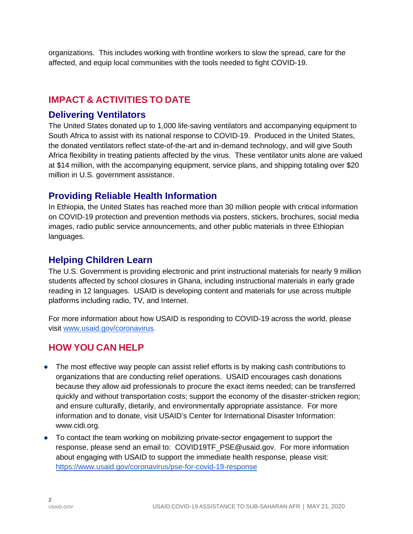organizations. This includes working with frontline workers to slow the spread, care for the affected, and equip local communities with the tools needed to fight COVID-19.

# **IMPACT & ACTIVITIES TO DATE**

### **Delivering Ventilators**

The United States donated up to 1,000 life-saving ventilators and accompanying equipment to South Africa to assist with its national response to COVID-19. Produced in the United States, the donated ventilators reflect state-of-the-art and in-demand technology, and will give South Africa flexibility in treating patients affected by the virus. These ventilator units alone are valued at \$14 million, with the accompanying equipment, service plans, and shipping totaling over \$20 million in U.S. government assistance.

### **Providing Reliable Health Information**

In Ethiopia, the United States has reached more than 30 million people with critical information on COVID-19 protection and prevention methods via posters, stickers, brochures, social media images, radio public service announcements, and other public materials in three Ethiopian languages.

### **Helping Children Learn**

The U.S. Government is providing electronic and print instructional materials for nearly 9 million students affected by school closures in Ghana, including instructional materials in early grade reading in 12 languages. USAID is developing content and materials for use across multiple platforms including radio, TV, and Internet.

For more information about how USAID is responding to COVID-19 across the world, please visit [www.usaid.gov/coronavirus.](http://www.usaid.gov/coronavirus)

# **HOW YOU CAN HELP**

- The most effective way people can assist relief efforts is by making cash contributions to organizations that are conducting relief operations. USAID encourages cash donations because they allow aid professionals to procure the exact items needed; can be transferred quickly and without transportation costs; support the economy of the disaster-stricken region; and ensure culturally, dietarily, and environmentally appropriate assistance. For more information and to donate, visit USAID's Center for International Disaster Information: [www.cidi.org.](https://www.cidi.org/disaster-responses/coronavirus/)
- To contact the team working on mobilizing private-sector engagement to support the response, please send an email to: COVID19TF\_PSE@usaid.gov. For more information about engaging with USAID to support the immediate health response, please visit: <https://www.usaid.gov/coronavirus/pse-for-covid-19-response>